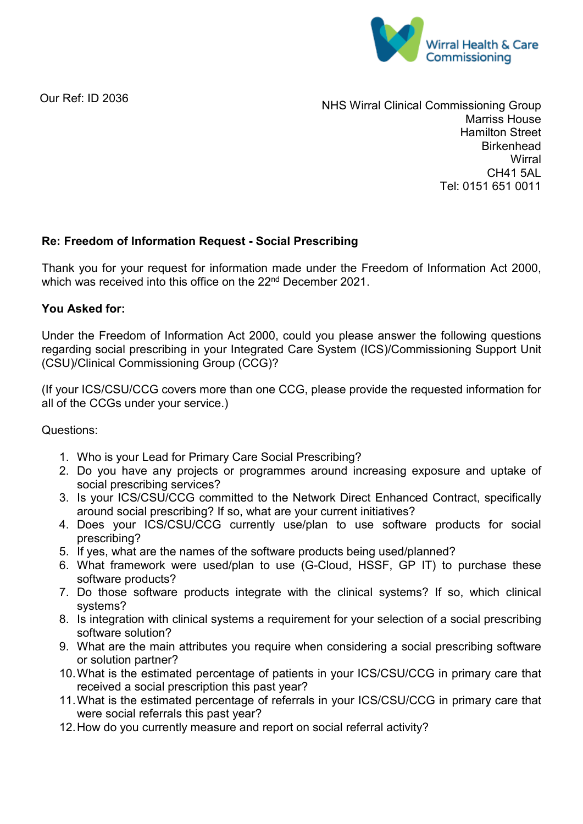

Our Ref: ID 2036

NHS Wirral Clinical Commissioning Group Marriss House Hamilton Street **Birkenhead Wirral** CH41 5AL Tel: 0151 651 0011

## **Re: Freedom of Information Request - Social Prescribing**

Thank you for your request for information made under the Freedom of Information Act 2000, which was received into this office on the 22<sup>nd</sup> December 2021.

## **You Asked for:**

Under the Freedom of Information Act 2000, could you please answer the following questions regarding social prescribing in your Integrated Care System (ICS)/Commissioning Support Unit (CSU)/Clinical Commissioning Group (CCG)?

(If your ICS/CSU/CCG covers more than one CCG, please provide the requested information for all of the CCGs under your service.)

Questions:

- 1. Who is your Lead for Primary Care Social Prescribing?
- 2. Do you have any projects or programmes around increasing exposure and uptake of social prescribing services?
- 3. Is your ICS/CSU/CCG committed to the Network Direct Enhanced Contract, specifically around social prescribing? If so, what are your current initiatives?
- 4. Does your ICS/CSU/CCG currently use/plan to use software products for social prescribing?
- 5. If yes, what are the names of the software products being used/planned?
- 6. What framework were used/plan to use (G-Cloud, HSSF, GP IT) to purchase these software products?
- 7. Do those software products integrate with the clinical systems? If so, which clinical systems?
- 8. Is integration with clinical systems a requirement for your selection of a social prescribing software solution?
- 9. What are the main attributes you require when considering a social prescribing software or solution partner?
- 10.What is the estimated percentage of patients in your ICS/CSU/CCG in primary care that received a social prescription this past year?
- 11.What is the estimated percentage of referrals in your ICS/CSU/CCG in primary care that were social referrals this past year?
- 12.How do you currently measure and report on social referral activity?